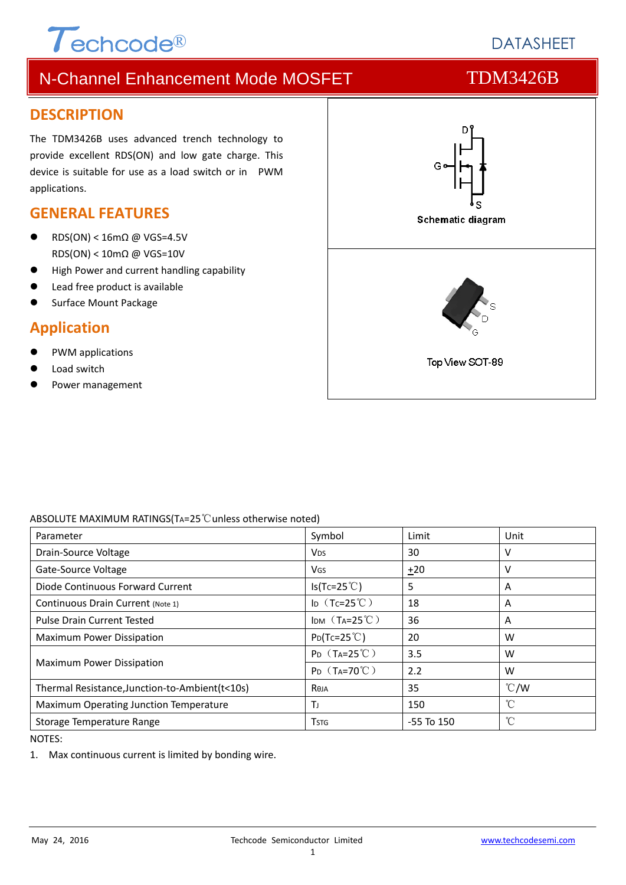# $\tau$ <sub>echcode®</sub>

# **DATASHEET**

# N-Channel Enhancement Mode MOSFET TDM3426B

#### **DESCRIPTION**

The TDM3426B uses advanced trench technology to provide excellent RDS(ON) and low gate charge. This device is suitable for use as a load switch or in PWM applications.

#### **GENERAL FEATURES**

- RDS(ON) < 16mΩ @ VGS=4.5V RDS(ON) < 10mΩ @ VGS=10V
- High Power and current handling capability
- Lead free product is available
- Surface Mount Package

### **Application**

- PWM applications
- Load switch
- Power management



#### ABSOLUTE MAXIMUM RATINGS(TA=25℃unless otherwise noted)

| Parameter                                       | Symbol                         | Limit          | Unit          |
|-------------------------------------------------|--------------------------------|----------------|---------------|
| Drain-Source Voltage                            | <b>V<sub>DS</sub></b>          | 30             | v             |
| Gate-Source Voltage                             | <b>V<sub>GS</sub></b>          | $+20$          | v             |
| Diode Continuous Forward Current                | $Is(Tc=25^{\circ}C)$           | 5              | A             |
| Continuous Drain Current (Note 1)               | ID $(Tc=25^{\circ}C)$          | 18             | A             |
| <b>Pulse Drain Current Tested</b>               | IDM $(T_A=25^{\circ}C)$        | 36             | A             |
| Maximum Power Dissipation                       | $P_{D}(Tc=25^{\circ}C)$        | 20             | W             |
| <b>Maximum Power Dissipation</b>                | $P_{D}$ (T <sub>A</sub> =25°C) | 3.5            | W             |
|                                                 | $P_D$ (T <sub>A</sub> =70°C)   | 2.2            | W             |
| Thermal Resistance, Junction-to-Ambient (t<10s) | Reja                           | 35             | $\degree$ C/W |
| Maximum Operating Junction Temperature          | Тı                             | 150            | °C            |
| Storage Temperature Range                       | <b>T</b> stg                   | $-55$ To $150$ | °C            |

NOTES:

1. Max continuous current is limited by bonding wire.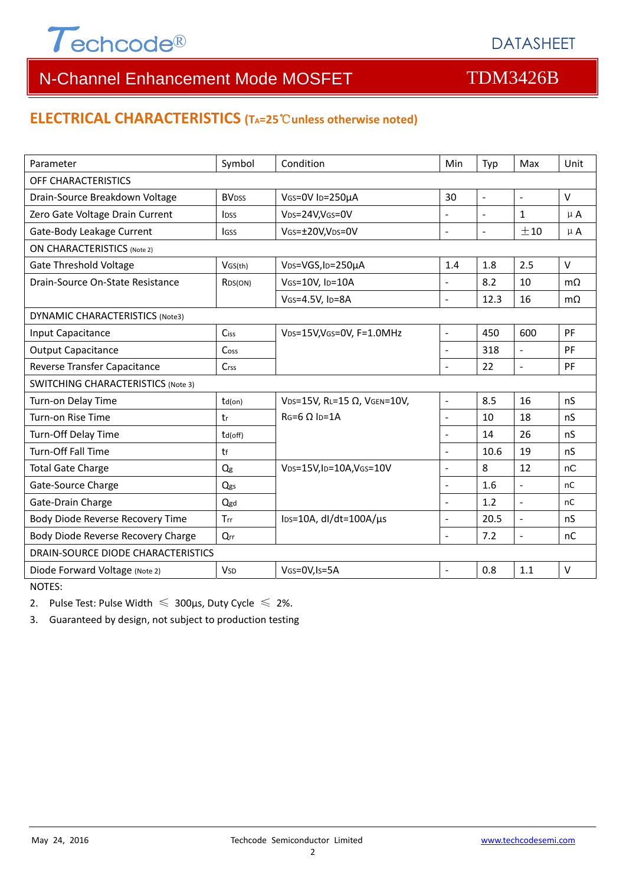

#### **ELECTRICAL CHARACTERISTICS (TA=25**℃**unless otherwise noted)**

| Parameter                                 | Symbol                   | Condition                                     | Min                      | Typ            | Max                      | Unit          |  |  |  |
|-------------------------------------------|--------------------------|-----------------------------------------------|--------------------------|----------------|--------------------------|---------------|--|--|--|
| OFF CHARACTERISTICS                       |                          |                                               |                          |                |                          |               |  |  |  |
| Drain-Source Breakdown Voltage            | <b>BV</b> <sub>DSS</sub> | VGS=0V ID=250µA                               |                          | $\blacksquare$ | $\overline{\phantom{a}}$ | $\vee$        |  |  |  |
| Zero Gate Voltage Drain Current           | <b>l</b> <sub>pss</sub>  | V <sub>DS</sub> =24V,V <sub>GS</sub> =0V      |                          |                | 1                        | $\mu$ A       |  |  |  |
| Gate-Body Leakage Current                 | <b>IGSS</b>              | VGs=±20V,VDs=0V                               | $\overline{a}$           | $\blacksquare$ | ±10                      | $\mu$ A       |  |  |  |
| <b>ON CHARACTERISTICS (Note 2)</b>        |                          |                                               |                          |                |                          |               |  |  |  |
| <b>Gate Threshold Voltage</b>             | VGS(th)                  | V <sub>DS</sub> =VGS, I <sub>D</sub> =250µA   | 1.4                      | 1.8            | 2.5                      | $\vee$        |  |  |  |
| Drain-Source On-State Resistance          | R <sub>DS</sub> (ON)     | VGS=10V, ID=10A                               | $\overline{a}$           | 8.2            | 10                       | $m\Omega$     |  |  |  |
|                                           |                          | VGS=4.5V, ID=8A                               | $\overline{a}$           | 12.3           | 16                       | $m\Omega$     |  |  |  |
| DYNAMIC CHARACTERISTICS (Note3)           |                          |                                               |                          |                |                          |               |  |  |  |
| Input Capacitance                         | Ciss                     | VDS=15V, VGS=0V, F=1.0MHz                     | $\overline{\phantom{a}}$ | 450            | 600                      | PF            |  |  |  |
| <b>Output Capacitance</b>                 | Cos <sub>S</sub>         |                                               | $\overline{a}$           | 318            | $\frac{1}{2}$            | PF            |  |  |  |
| Reverse Transfer Capacitance              | Crss                     |                                               | $\blacksquare$           | 22             | $\Box$                   | PF            |  |  |  |
| <b>SWITCHING CHARACTERISTICS (Note 3)</b> |                          |                                               |                          |                |                          |               |  |  |  |
| Turn-on Delay Time                        | $td($ on $)$             | VDS=15V, RL=15 Ω, VGEN=10V,                   | $\overline{a}$           | 8.5            | 16                       | nS            |  |  |  |
| Turn-on Rise Time                         | tr                       | $RG=6 \Omega$ Ip=1A                           | $\overline{a}$           | 10             | 18                       | nS            |  |  |  |
| Turn-Off Delay Time                       | td(off)                  |                                               |                          | 14             | 26                       | nS            |  |  |  |
| <b>Turn-Off Fall Time</b>                 | tf                       |                                               |                          | 10.6           | 19                       | nS            |  |  |  |
| <b>Total Gate Charge</b>                  | Qg                       | VDS=15V,ID=10A,VGS=10V                        |                          | 8              | 12                       | nC            |  |  |  |
| Gate-Source Charge                        | Qgs                      |                                               | $\overline{a}$           | 1.6            | $\overline{\phantom{a}}$ | <sub>nC</sub> |  |  |  |
| Gate-Drain Charge                         | Qgd                      |                                               | $\overline{a}$           | 1.2            | $\overline{a}$           | nC            |  |  |  |
| Body Diode Reverse Recovery Time          | Trr                      | $\text{los}=10\text{A}$ , dl/dt=100A/ $\mu$ s | $\overline{a}$           | 20.5           | $\overline{\phantom{a}}$ | nS            |  |  |  |
| Body Diode Reverse Recovery Charge        | $Q_{rr}$                 |                                               | $\overline{a}$           | 7.2            | $\frac{1}{2}$            | nC            |  |  |  |
| DRAIN-SOURCE DIODE CHARACTERISTICS        |                          |                                               |                          |                |                          |               |  |  |  |
| Diode Forward Voltage (Note 2)            | <b>V<sub>SD</sub></b>    | VGS=0V, Is=5A                                 | $\overline{a}$           | 0.8            | 1.1                      | $\vee$        |  |  |  |

NOTES:

2. Pulse Test: Pulse Width  $\leq 300$ μs, Duty Cycle  $\leq 2\%$ .

3. Guaranteed by design, not subject to production testing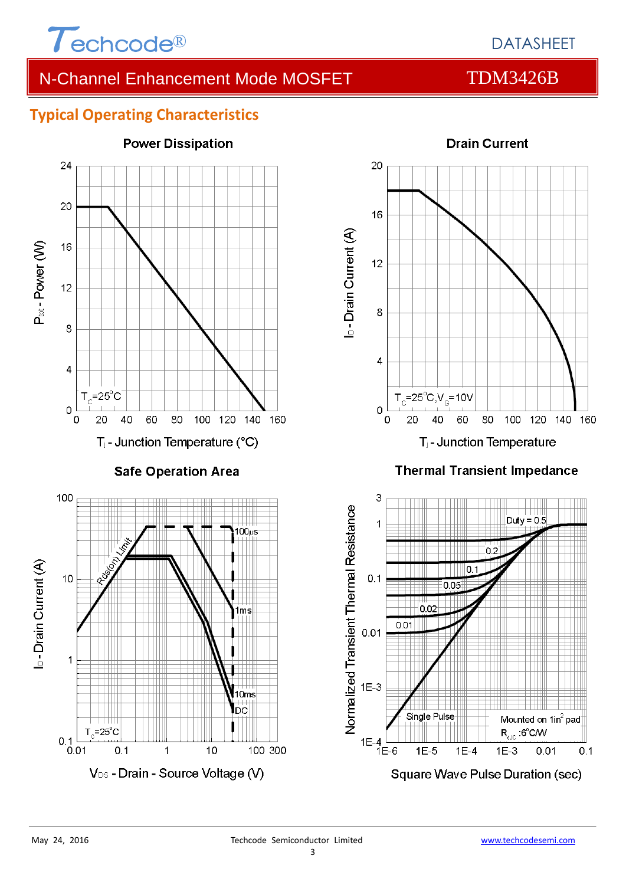

#### **Typical Operating Characteristics**





#### **Thermal Transient Impedance**

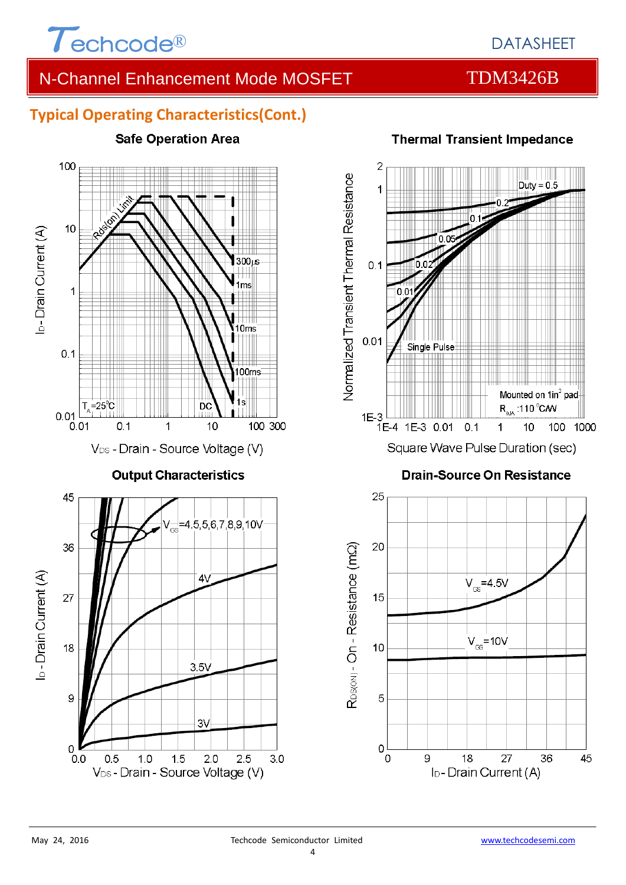

#### **Typical Operating Characteristics(Cont.)**





# **Thermal Transient Impedance**

**Drain-Source On Resistance** 

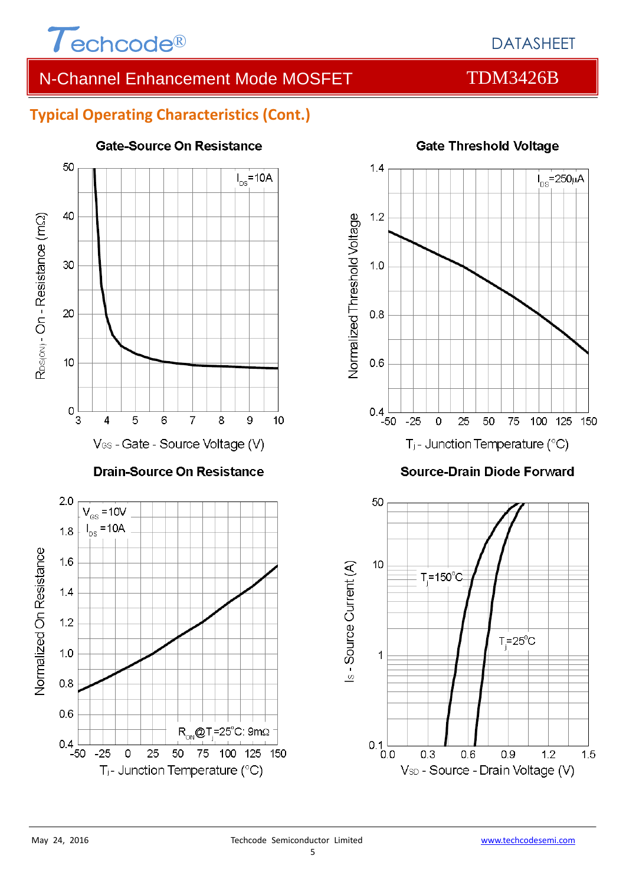

### DATASHEET

## N-Channel Enhancement Mode MOSFET TDM3426B

#### **Typical Operating Characteristics (Cont.)**



#### Gate-Source On Resistance



#### **Gate Threshold Voltage**

**Source-Drain Diode Forward** 

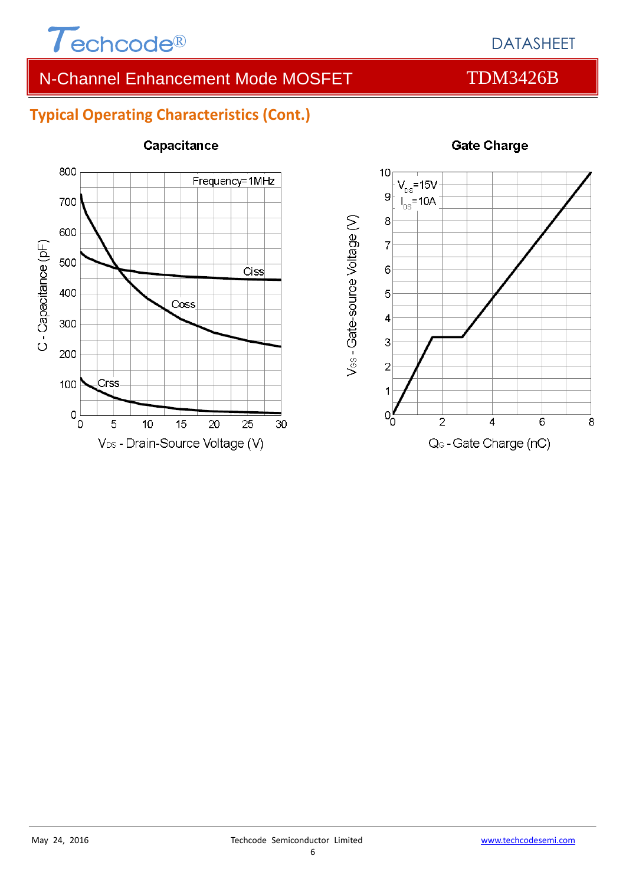

#### **Typical Operating Characteristics (Cont.)**



#### Capacitance



#### **Gate Charge**

### DATASHEET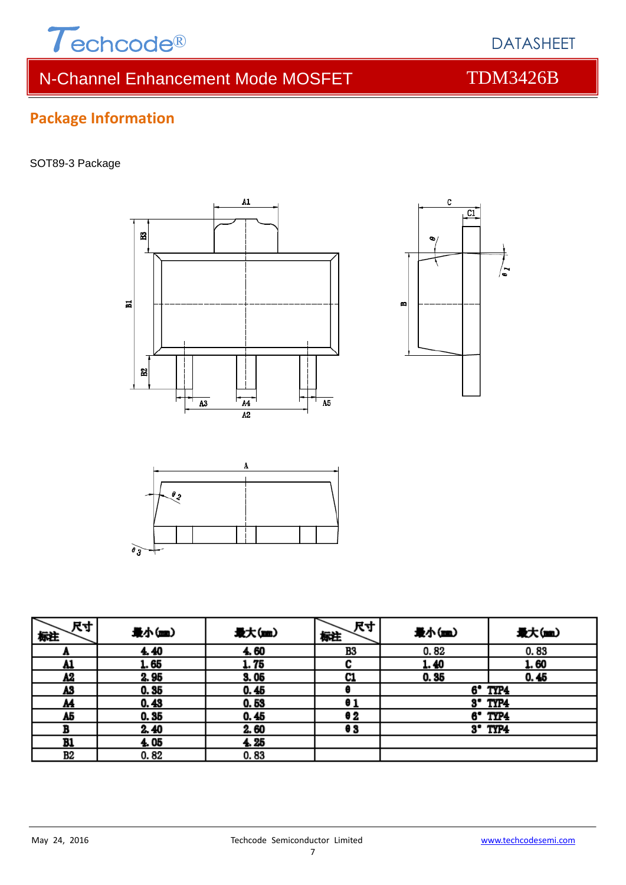

DATASHEET

### **Package Information**

#### SOT89-3 Package







| 尺寸<br>标注  | 最小(mm) | 最大(mm) | 尺寸<br>标注 | 最小(mm) | 最大(m)            |
|-----------|--------|--------|----------|--------|------------------|
| n         | 4.40   | 4.60   | B3       | 0.82   | 0.83             |
| <u>A1</u> | 1.65   | 1.75   |          | 1.40   | 1.60             |
| Λ2        | 2.95   | 3.05   | C1       | 0.35   | 0.45             |
| A3        | 0.35   | 0.45   |          |        | 6° TYP4          |
| <u>M</u>  | 0.43   | 0.53   | θ1       |        | $3^{\circ}$ TYP4 |
| A5        | 0.35   | 0.45   | 62       |        | 6° TYP4          |
| в         | 2.40   | 2.60   | e 3      |        | $3'$ TYP4        |
| B1        | 4.05   | 4.25   |          |        |                  |
| В2        | 0.82   | 0.83   |          |        |                  |